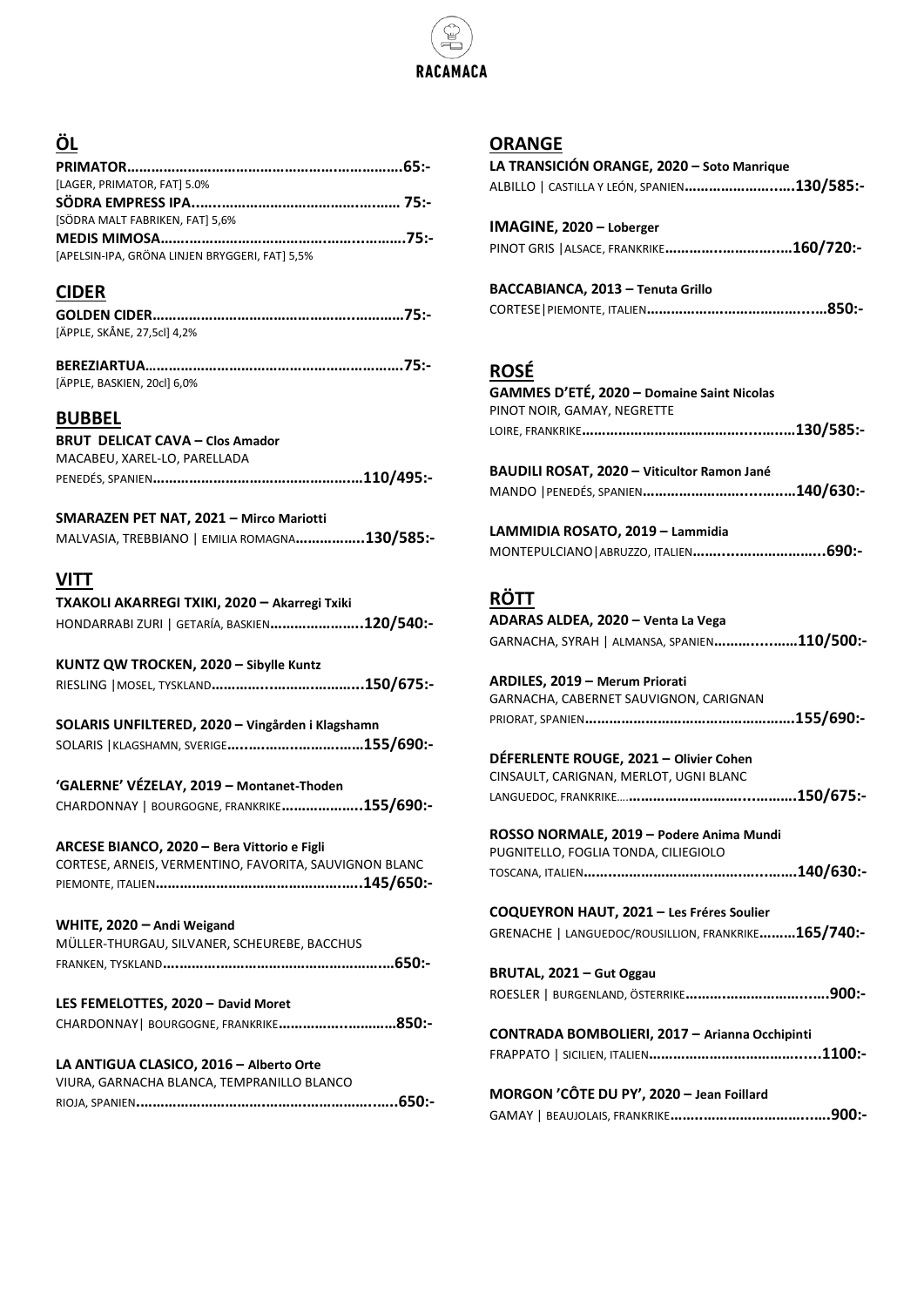

# **ÖL**

| [LAGER, PRIMATOR, FAT] 5.0%                    |  |
|------------------------------------------------|--|
|                                                |  |
| <b>ISÖDRA MALT FABRIKEN, FATI 5.6%</b>         |  |
|                                                |  |
| [APELSIN-IPA, GRÖNA LINJEN BRYGGERI, FAT] 5.5% |  |

## **CIDER**

| [ÄPPLE, SKÅNE, 27,5cl] 4,2% |  |
|-----------------------------|--|

| [ÄPPLE, BASKIEN, 20cl] 6,0% |  |
|-----------------------------|--|

### **BUBBEL**

| <b>BRUT DELICAT CAVA - Clos Amador</b> |  |
|----------------------------------------|--|
| MACABEU, XAREL-LO, PARELLADA           |  |
|                                        |  |

**SMARAZEN PET NAT, 2021 – Mirco Mariotti** MALVASIA, TREBBIANO | EMILIA ROMAGNA**……………..130/585:-**

## **VITT**

| TXAKOLI AKARREGI TXIKI, 2020 - Akarregi Txiki |  |
|-----------------------------------------------|--|
| HONDARRABI ZURI   GETARÍA, BASKIEN120/540:-   |  |

**KUNTZ QW TROCKEN, 2020 – Sibylle Kuntz** RIESLING |MOSEL, TYSKLAND**…………...……….………...150/675:-**

**SOLARIS UNFILTERED, 2020 – Vingården i Klagshamn** SOLARIS |KLAGSHAMN, SVERIGE**…..….……..……….……155/690:-**

**'GALERNE' VÉZELAY, 2019 – Montanet-Thoden** CHARDONNAY | BOURGOGNE, FRANKRIKE**………………..155/690:-**

**ARCESE BIANCO, 2020 – Bera Vittorio e Figli** CORTESE, ARNEIS, VERMENTINO, FAVORITA, SAUVIGNON BLANC PIEMONTE, ITALIEN**……………………………………….…..145/650:-**

### **WHITE, 2020 – Andi Weigand**

MÜLLER-THURGAU, SILVANER, SCHEUREBE, BACCHUS FRANKEN, TYSKLAND**….……….………………………………….…650:-**

**LES FEMELOTTES, 2020 – David Moret** CHARDONNAY| BOURGOGNE, FRANKRIKE**……………..…………850:-**

# **LA ANTIGUA CLASICO, 2016 – Alberto Orte**

| VIURA, GARNACHA BLANCA, TEMPRANILLO BLANCO |
|--------------------------------------------|
|                                            |

### **ORANGE**

| LA TRANSICIÓN ORANGE, 2020 - Soto Manrique  |  |
|---------------------------------------------|--|
| ALBILLO   CASTILLA Y LEÓN, SPANIEN130/585:- |  |

| IMAGINE, 2020 - Loberger                |  |
|-----------------------------------------|--|
| PINOT GRIS   ALSACE, FRANKRIKE160/720:- |  |

**BACCABIANCA, 2013 – Tenuta Grillo** CORTESE|PIEMONTE, ITALIEN**……………….………………....…850:-**

# **ROSÉ**

**GAMMES D'ETÉ, 2020 – Domaine Saint Nicolas** PINOT NOIR, GAMAY, NEGRETTE LOIRE, FRANKRIKE**………………………………….....…..…130/585:-**

**BAUDILI ROSAT, 2020 – Viticultor Ramon Jané** MANDO |PENEDÉS, SPANIEN**…………………….....…..…140/630:-**

**LAMMIDIA ROSATO, 2019 – Lammidia** MONTEPULCIANO|ABRUZZO, ITALIEN**…….....………………...690:-**

# **RÖTT**

**ADARAS ALDEA, 2020 – Venta La Vega** GARNACHA, SYRAH | ALMANSA, SPANIEN**……….....……110/500:-**

**ARDILES, 2019 – Merum Priorati** GARNACHA, CABERNET SAUVIGNON, CARIGNAN PRIORAT, SPANIEN**…………………………………………….155/690:-**

**DÉFERLENTE ROUGE, 2021 – Olivier Cohen** CINSAULT, CARIGNAN, MERLOT, UGNI BLANC LANGUEDOC, FRANKRIKE….**………………………....……….150/675:-**

**ROSSO NORMALE, 2019 – Podere Anima Mundi** PUGNITELLO, FOGLIA TONDA, CILIEGIOLO TOSCANA, ITALIEN**……..………………………….…...…….140/630:-**

**COQUEYRON HAUT, 2021 – Les Fréres Soulier** GRENACHE | LANGUEDOC/ROUSILLION, FRANKRIKE**………165/740:-**

**BRUTAL, 2021 – Gut Oggau** ROESLER | BURGENLAND, ÖSTERRIKE**……….………………...….900:-**

**CONTRADA BOMBOLIERI, 2017 – Arianna Occhipinti** FRAPPATO | SICILIEN, ITALIEN**………………………………......1100:-**

**MORGON 'CÔTE DU PY', 2020 – Jean Foillard** GAMAY | BEAUJOLAIS, FRANKRIKE**……..……………………...….900:-**